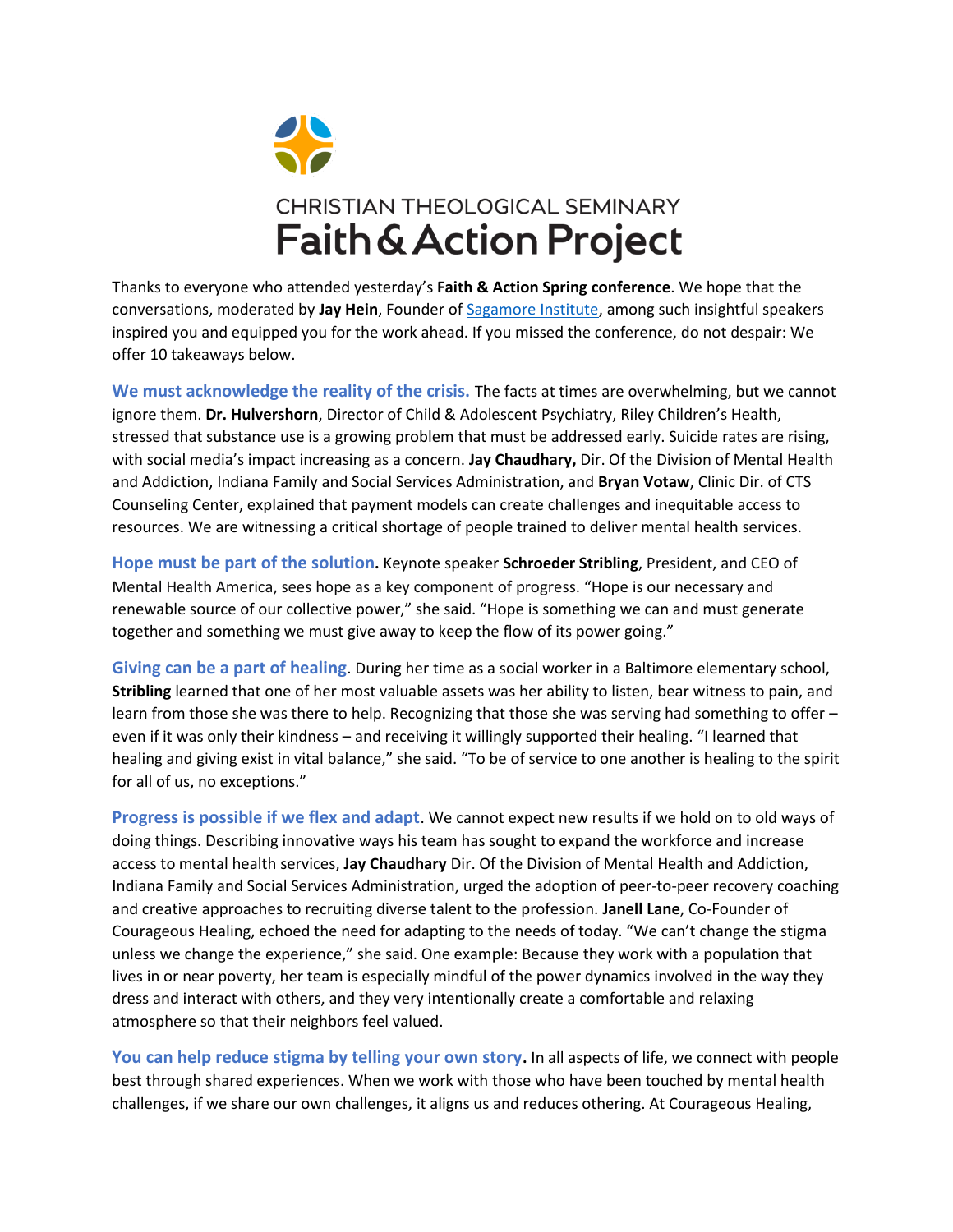

Thanks to everyone who attended yesterday's **Faith & Action Spring conference**. We hope that the conversations, moderated by **Jay Hein**, Founder o[f Sagamore Institute,](https://sagamoreinstitute.org/indiana-conference-on-citizenship-2021/) among such insightful speakers inspired you and equipped you for the work ahead. If you missed the conference, do not despair: We offer 10 takeaways below.

**We must acknowledge the reality of the crisis.** The facts at times are overwhelming, but we cannot ignore them. **Dr. Hulvershorn**, Director of Child & Adolescent Psychiatry, Riley Children's Health, stressed that substance use is a growing problem that must be addressed early. Suicide rates are rising, with social media's impact increasing as a concern. **Jay Chaudhary,** Dir. Of the Division of Mental Health and Addiction, Indiana Family and Social Services Administration, and **Bryan Votaw**, Clinic Dir. of CTS Counseling Center, explained that payment models can create challenges and inequitable access to resources. We are witnessing a critical shortage of people trained to deliver mental health services.

**Hope must be part of the solution.** Keynote speaker **Schroeder Stribling**, President, and CEO of Mental Health America, sees hope as a key component of progress. "Hope is our necessary and renewable source of our collective power," she said. "Hope is something we can and must generate together and something we must give away to keep the flow of its power going."

**Giving can be a part of healing**. During her time as a social worker in a Baltimore elementary school, **Stribling** learned that one of her most valuable assets was her ability to listen, bear witness to pain, and learn from those she was there to help. Recognizing that those she was serving had something to offer – even if it was only their kindness – and receiving it willingly supported their healing. "I learned that healing and giving exist in vital balance," she said. "To be of service to one another is healing to the spirit for all of us, no exceptions."

**Progress is possible if we flex and adapt**. We cannot expect new results if we hold on to old ways of doing things. Describing innovative ways his team has sought to expand the workforce and increase access to mental health services, **Jay Chaudhary** Dir. Of the Division of Mental Health and Addiction, Indiana Family and Social Services Administration, urged the adoption of peer-to-peer recovery coaching and creative approaches to recruiting diverse talent to the profession. **Janell Lane**, Co-Founder of Courageous Healing, echoed the need for adapting to the needs of today. "We can't change the stigma unless we change the experience," she said. One example: Because they work with a population that lives in or near poverty, her team is especially mindful of the power dynamics involved in the way they dress and interact with others, and they very intentionally create a comfortable and relaxing atmosphere so that their neighbors feel valued.

**You can help reduce stigma by telling your own story.** In all aspects of life, we connect with people best through shared experiences. When we work with those who have been touched by mental health challenges, if we share our own challenges, it aligns us and reduces othering. At Courageous Healing,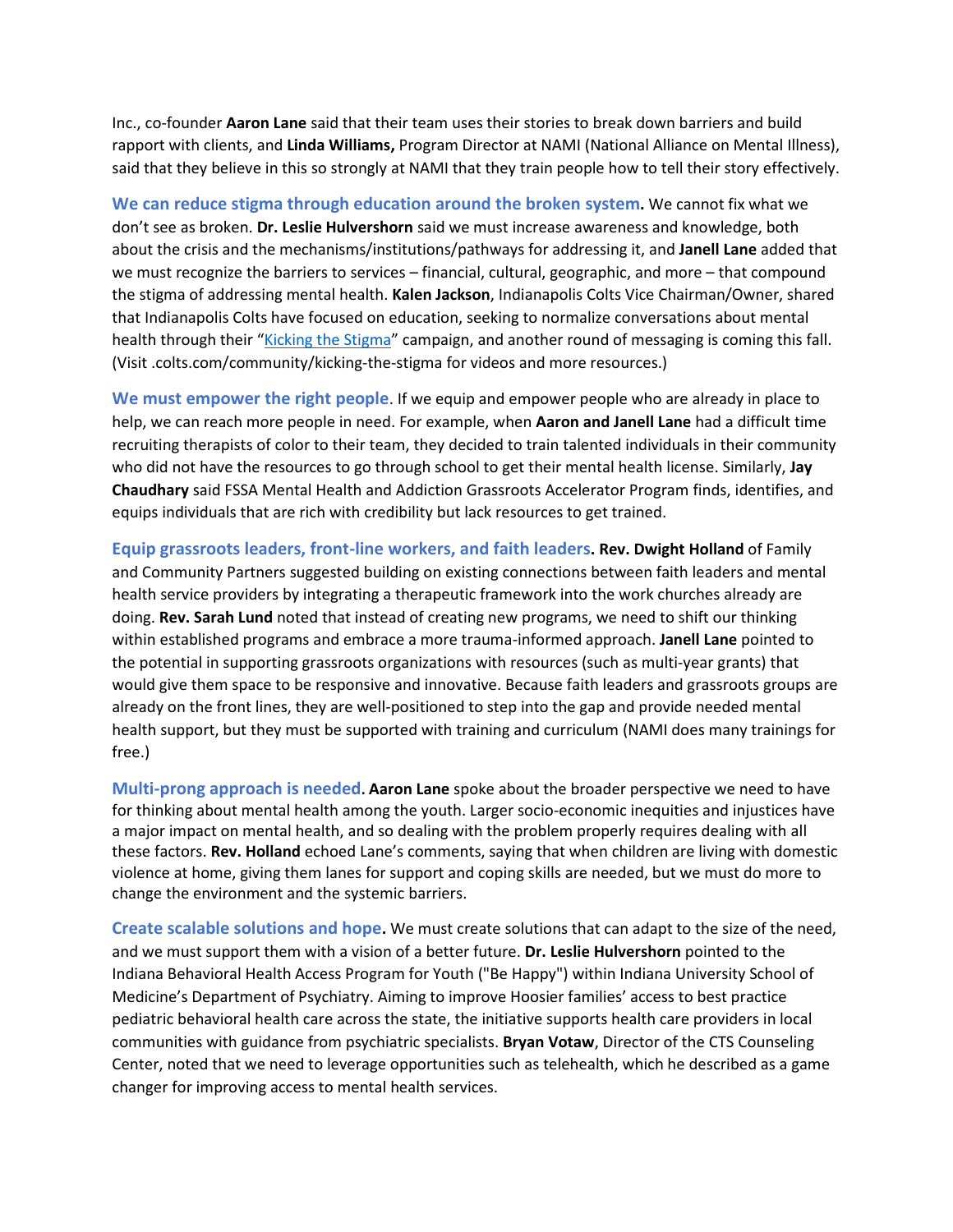Inc., co-founder **Aaron Lane** said that their team uses their stories to break down barriers and build rapport with clients, and **Linda Williams,** Program Director at NAMI (National Alliance on Mental Illness), said that they believe in this so strongly at NAMI that they train people how to tell their story effectively.

**We can reduce stigma through education around the broken system.** We cannot fix what we don't see as broken. **Dr. Leslie Hulvershorn** said we must increase awareness and knowledge, both about the crisis and the mechanisms/institutions/pathways for addressing it, and **Janell Lane** added that we must recognize the barriers to services – financial, cultural, geographic, and more – that compound the stigma of addressing mental health. **Kalen Jackson**, Indianapolis Colts Vice Chairman/Owner, shared that Indianapolis Colts have focused on education, seeking to normalize conversations about mental health through their "[Kicking the Stigma](https://www.colts.com/community/kicking-the-stigma)" campaign, and another round of messaging is coming this fall. (Visit .colts.com/community/kicking-the-stigma for videos and more resources.)

**We must empower the right people**. If we equip and empower people who are already in place to help, we can reach more people in need. For example, when **Aaron and Janell Lane** had a difficult time recruiting therapists of color to their team, they decided to train talented individuals in their community who did not have the resources to go through school to get their mental health license. Similarly, **Jay Chaudhary** said FSSA Mental Health and Addiction Grassroots Accelerator Program finds, identifies, and equips individuals that are rich with credibility but lack resources to get trained.

**Equip grassroots leaders, front-line workers, and faith leaders. Rev. Dwight Holland** of Family and Community Partners suggested building on existing connections between faith leaders and mental health service providers by integrating a therapeutic framework into the work churches already are doing. **Rev. Sarah Lund** noted that instead of creating new programs, we need to shift our thinking within established programs and embrace a more trauma-informed approach. **Janell Lane** pointed to the potential in supporting grassroots organizations with resources (such as multi-year grants) that would give them space to be responsive and innovative. Because faith leaders and grassroots groups are already on the front lines, they are well-positioned to step into the gap and provide needed mental health support, but they must be supported with training and curriculum (NAMI does many trainings for free.)

**Multi-prong approach is needed. Aaron Lane** spoke about the broader perspective we need to have for thinking about mental health among the youth. Larger socio-economic inequities and injustices have a major impact on mental health, and so dealing with the problem properly requires dealing with all these factors. **Rev. Holland** echoed Lane's comments, saying that when children are living with domestic violence at home, giving them lanes for support and coping skills are needed, but we must do more to change the environment and the systemic barriers.

**Create scalable solutions and hope.** We must create solutions that can adapt to the size of the need, and we must support them with a vision of a better future. **Dr. Leslie Hulvershorn** pointed to the Indiana Behavioral Health Access Program for Youth ("Be Happy") within Indiana University School of Medicine's Department of Psychiatry. Aiming to improve Hoosier families' access to best practice pediatric behavioral health care across the state, the initiative supports health care providers in local communities with guidance from psychiatric specialists. **Bryan Votaw**, Director of the CTS Counseling Center, noted that we need to leverage opportunities such as telehealth, which he described as a game changer for improving access to mental health services.